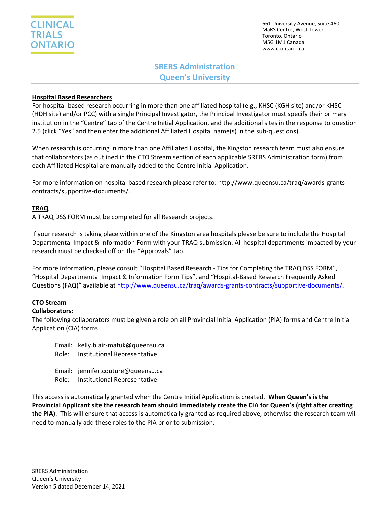

661 University Avenue, Suite 460 MaRS Centre, West Tower Toronto, Ontario M5G 1M1 Canada www.ctontario.ca

# **SRERS Administration Queen's University**

## **Hospital Based Researchers**

For hospital-based research occurring in more than one affiliated hospital (e.g., KHSC (KGH site) and/or KHSC (HDH site) and/or PCC) with a single Principal Investigator, the Principal Investigator must specify their primary institution in the "Centre" tab of the Centre Initial Application, and the additional sites in the response to question 2.5 (click "Yes" and then enter the additional Affiliated Hospital name(s) in the sub-questions).

When research is occurring in more than one Affiliated Hospital, the Kingston research team must also ensure that collaborators (as outlined in the CTO Stream section of each applicable SRERS Administration form) from each Affiliated Hospital are manually added to the Centre Initial Application.

For more information on hospital based research please refer to: http://www.queensu.ca/traq/awards-grantscontracts/supportive-documents/.

### **TRAQ**

A TRAQ DSS FORM must be completed for all Research projects.

If your research is taking place within one of the Kingston area hospitals please be sure to include the Hospital Departmental Impact & Information Form with your TRAQ submission. All hospital departments impacted by your research must be checked off on the "Approvals" tab.

For more information, please consult "Hospital Based Research - Tips for Completing the TRAQ DSS FORM", "Hospital Departmental Impact & Information Form Tips", and "Hospital-Based Research Frequently Asked Questions (FAQ)" available at [http://www.queensu.ca/traq/awards-grants-contracts/supportive-documents/.](http://www.queensu.ca/traq/awards-grants-contracts/supportive-documents/)

#### **CTO Stream**

#### **Collaborators:**

The following collaborators must be given a role on all Provincial Initial Application (PIA) forms and Centre Initial Application (CIA) forms.

- Email: kelly.blair-matuk@queensu.ca Role: Institutional Representative Email: jennifer.couture@queensu.ca
- Role: Institutional Representative

This access is automatically granted when the Centre Initial Application is created. **When Queen's is the Provincial Applicant site the research team should immediately create the CIA for Queen's (right after creating the PIA)**. This will ensure that access is automatically granted as required above, otherwise the research team will need to manually add these roles to the PIA prior to submission.